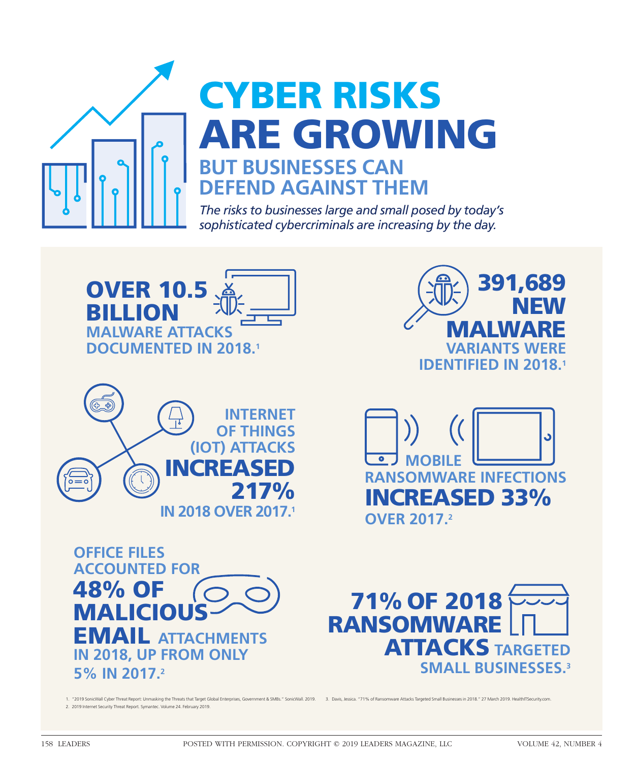

# ARE GROWING ARE GROWING **BUT BUSINESSES CAN BUT BUSINESSES CAN DEFEND AGAINST THEM DEFEND AGAINST THEM** CYBER RISKS CYBER RISKS

*The risks to businesses large and small posed by today's The risks to businesses large and small posed by today's sophisticated cybercriminals are increasing by the day. sophisticated cybercriminals are increasing by the day.*













1. "2019 SonicWall Cyber Threat Report: Unmasking the Threats that Target Global Enterprises, Government & SMBs." SonicWall. 2019. 2. 2019 Internet Security Threat Report. Symantec. Volume 24. February 2019. 2. 2019 Internet Security Threat Report. Symantec. Volume 24. February 2019. 3. Davis, Jessica. "71% of Ransomware Attacks Targeted Small Businesses in 2018." 27 March 2019. HealthITSecurity.com. 3. Davis, Jessica. "71% of Ransomware Attacks Targeted Small Businesses in 2018." 27 March 2019. HealthITSecurity.com.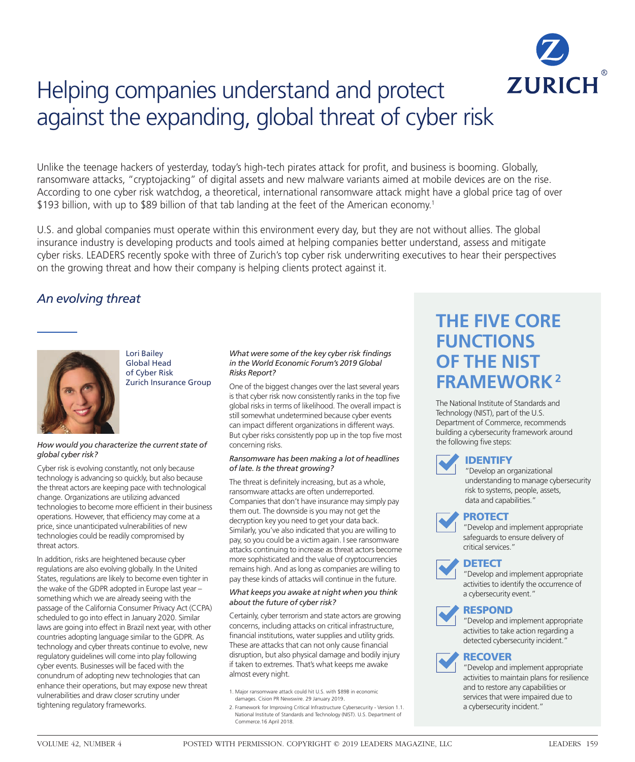

# Helping companies understand and protect Helping companies understand and protect against the expanding, global threat of cyber risk against the expanding, global threat of cyber risk

Unlike the teenage hackers of yesterday, today's high-tech pirates attack for profit, and business is booming. Globally, ransomware attacks, "cryptojacking" of digital assets and new malware variants aimed at mobile devices are on the rise. According to one cyber risk watchdog, a theoretical, international ransomware attack might have a global price tag of over \$193 billion, with up to \$89 billion of that tab landing at the feet of the American economy.<sup>1</sup>

U.S. and global companies must operate within this environment every day, but they are not without allies. The global insurance industry is developing products and tools aimed at helping companies better understand, assess and mitigate cyber risks. LEADERS recently spoke with three of Zurich's top cyber risk underwriting executives to hear their perspectives on the growing threat and how their company is helping clients protect against it. on the growing threat and how their company is helping clients protect against it.

### *An evolving threat An evolving threat*



Lori Bailey Lori Bailey Global Head Global Head of Cyber Risk of Cyber Risk Zurich Insurance Group Zurich Insurance Group

#### *How would you characterize the current state of How would you characterize the current state of global cyber risk? global cyber risk?*

Cyber risk is evolving constantly, not only because Cyber risk is evolving constantly, not only because technology is advancing so quickly, but also because technology is advancing so quickly, but also because the threat actors are keeping pace with technological the threat actors are keeping pace with technological change. Organizations are utilizing advanced change. Organizations are utilizing advanced technologies to become more efficient in their business technologies to become more efficient in their business operations. However, that efficiency may come at a operations. However, that efficiency may come at a price, since unanticipated vulnerabilities of new price, since unanticipated vulnerabilities of new technologies could be readily compromised by technologies could be readily compromised by threat actors. threat actors.

In addition, risks are heightened because cyber In addition, risks are heightened because cyber regulations are also evolving globally. In the United regulations are also evolving globally. In the United States, regulations are likely to become even tighter in States, regulations are likely to become even tighter in the wake of the GDPR adopted in Europe last year – the wake of the GDPR adopted in Europe last year – something which we are already seeing with the something which we are already seeing with the passage of the California Consumer Privacy Act (CCPA) passage of the California Consumer Privacy Act (CCPA) scheduled to go into effect in January 2020. Similar scheduled to go into effect in January 2020. Similar laws are going into effect in Brazil next year, with other laws are going into effect in Brazil next year, with other countries adopting language similar to the GDPR. As countries adopting language similar to the GDPR. As technology and cyber threats continue to evolve, new technology and cyber threats continue to evolve, new regulatory guidelines will come into play following regulatory guidelines will come into play following cyber events. Businesses will be faced with the cyber events. Businesses will be faced with the conundrum of adopting new technologies that can conundrum of adopting new technologies that can enhance their operations, but may expose new threat enhance their operations, but may expose new threat vulnerabilities and draw closer scrutiny under vulnerabilities and draw closer scrutiny under tightening regulatory frameworks. tightening regulatory frameworks.

#### *What were some of the key cyber risk findings What were some of the key cyber risk findings in the World Economic Forum's 2019 Global in the World Economic Forum's 2019 Global Risks Report? Risks Report?*

One of the biggest changes over the last several years One of the biggest changes over the last several years is that cyber risk now consistently ranks in the top five is that cyber risk now consistently ranks in the top five global risks in terms of likelihood. The overall impact is global risks in terms of likelihood. The overall impact is still somewhat undetermined because cyber events still somewhat undetermined because cyber events can impact different organizations in different ways. can impact different organizations in different ways. But cyber risks consistently pop up in the top five most But cyber risks consistently pop up in the top five most concerning risks. concerning risks.

#### *Ransomware has been making a lot of headlines Ransomware has been making a lot of headlines of late. Is the threat growing? of late. Is the threat growing?*

The threat is definitely increasing, but as a whole, The threat is definitely increasing, but as a whole, ransomware attacks are often underreported. ransomware attacks are often underreported. Companies that don't have insurance may simply pay Companies that don't have insurance may simply pay them out. The downside is you may not get the them out. The downside is you may not get the decryption key you need to get your data back. decryption key you need to get your data back. Similarly, you've also indicated that you are willing to Similarly, you've also indicated that you are willing to pay, so you could be a victim again. I see ransomware pay, so you could be a victim again. I see ransomware attacks continuing to increase as threat actors become attacks continuing to increase as threat actors become more sophisticated and the value of cryptocurrencies more sophisticated and the value of cryptocurrencies remains high. And as long as companies are willing to remains high. And as long as companies are willing to pay these kinds of attacks will continue in the future. pay these kinds of attacks will continue in the future.

#### *What keeps you awake at night when you think What keeps you awake at night when you think about the future of cyber risk? about the future of cyber risk?*

Certainly, cyber terrorism and state actors are growing Certainly, cyber terrorism and state actors are growing concerns, including attacks on critical infrastructure, concerns, including attacks on critical infrastructure, financial institutions, water supplies and utility grids. financial institutions, water supplies and utility grids. These are attacks that can not only cause financial These are attacks that can not only cause financial disruption, but also physical damage and bodily injury disruption, but also physical damage and bodily injury if taken to extremes. That's what keeps me awake if taken to extremes. That's what keeps me awake almost every night. almost every night.

- 1. Major ransomware attack could hit U.S. with \$89B in economic 1. Major ransomware attack could hit U.S. with \$89B in economic damages. Cision PR Newswire. 29 January 2019. damages. Cision PR Newswire. 29 January 2019.
- 2. Framework for Improving Critical Infrastructure Cybersecurity Version 1.1. 2. Framework for Improving Critical Infrastructure Cybersecurity Version 1.1. National Institute of Standards and Technology (NIST). U.S. Department of National Institute of Standards and Technology (NIST). U.S. Department of Commerce.16 April 2018. Commerce.16 April 2018.

# **THE FIVE CORE THE FIVE CORE FUNCTIONS FUNCTIONS OF THE NIST OF THE NIST FRAMEWORK2 FRAMEWORK2**

The National Institute of Standards and The National Institute of Standards and Technology (NIST), part of the U.S. Technology (NIST), part of the U.S. Department of Commerce, recommends Department of Commerce, recommends building a cybersecurity framework around building a cybersecurity framework around the following five steps: the following five steps:



#### IDENTIFY IDENTIFY

"Develop an organizational "Develop an organizational understanding to manage cybersecurity understanding to manage cybersecurity risk to systems, people, assets, risk to systems, people, assets, data and capabilities." data and capabilities."

### PROTECT PROTECT

"Develop and implement appropriate "Develop and implement appropriate safeguards to ensure delivery of safeguards to ensure delivery of critical services." critical services."



"Develop and implement appropriate "Develop and implement appropriate activities to identify the occurrence of activities to identify the occurrence of a cybersecurity event." a cybersecurity event."





"Develop and implement appropriate "Develop and implement appropriate activities to take action regarding a activities to take action regarding a detected cybersecurity incident." detected cybersecurity incident."

### RECOVER RECOVER

"Develop and implement appropriate "Develop and implement appropriate activities to maintain plans for resilience activities to maintain plans for resilience and to restore any capabilities or and to restore any capabilities or services that were impaired due to services that were impaired due to a cybersecurity incident." a cybersecurity incident."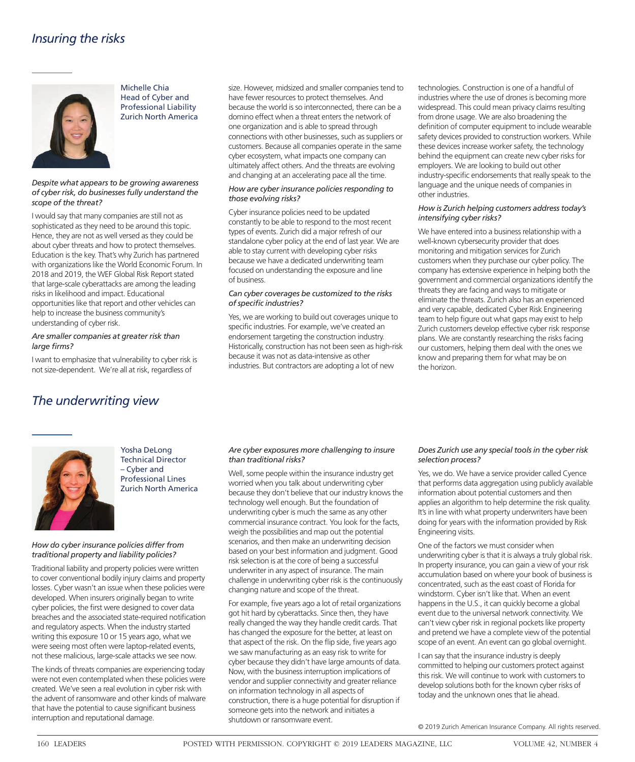

Michelle Chia Head of Cyber and Professional Liability Zurich North America

#### *Despite what appears to be growing awareness of cyber risk, do businesses fully understand the scope of the threat?*

I would say that many companies are still not as sophisticated as they need to be around this topic. Hence, they are not as well versed as they could be about cyber threats and how to protect themselves. Education is the key. That's why Zurich has partnered with organizations like the World Economic Forum. In 2018 and 2019, the WEF Global Risk Report stated that large-scale cyberattacks are among the leading risks in likelihood and impact. Educational opportunities like that report and other vehicles can help to increase the business community's understanding of cyber risk.

#### *Are smaller companies at greater risk than large firms?*

I want to emphasize that vulnerability to cyber risk is not size-dependent. We're all at risk, regardless of

size. However, midsized and smaller companies tend to have fewer resources to protect themselves. And because the world is so interconnected, there can be a domino effect when a threat enters the network of one organization and is able to spread through connections with other businesses, such as suppliers or customers. Because all companies operate in the same cyber ecosystem, what impacts one company can ultimately affect others. And the threats are evolving and changing at an accelerating pace all the time.

#### *How are cyber insurance policies responding to those evolving risks?*

Cyber insurance policies need to be updated constantly to be able to respond to the most recent types of events. Zurich did a major refresh of our standalone cyber policy at the end of last year. We are able to stay current with developing cyber risks because we have a dedicated underwriting team focused on understanding the exposure and line of business.

#### *Can cyber coverages be customized to the risks of specific industries?*

Yes, we are working to build out coverages unique to specific industries. For example, we've created an endorsement targeting the construction industry. Historically, construction has not been seen as high-risk because it was not as data-intensive as other industries. But contractors are adopting a lot of new

technologies. Construction is one of a handful of industries where the use of drones is becoming more widespread. This could mean privacy claims resulting from drone usage. We are also broadening the definition of computer equipment to include wearable safety devices provided to construction workers. While these devices increase worker safety, the technology behind the equipment can create new cyber risks for employers. We are looking to build out other industry-specific endorsements that really speak to the language and the unique needs of companies in other industries.

#### *How is Zurich helping customers address today's intensifying cyber risks?*

We have entered into a business relationship with a well-known cybersecurity provider that does monitoring and mitigation services for Zurich customers when they purchase our cyber policy. The company has extensive experience in helping both the government and commercial organizations identify the threats they are facing and ways to mitigate or eliminate the threats. Zurich also has an experienced and very capable, dedicated Cyber Risk Engineering team to help figure out what gaps may exist to help Zurich customers develop effective cyber risk response plans. We are constantly researching the risks facing our customers, helping them deal with the ones we know and preparing them for what may be on the horizon.

## *The underwriting view*



Yosha DeLong Technical Director – Cyber and Professional Lines Zurich North America

#### *How do cyber insurance policies differ from traditional property and liability policies?*

Traditional liability and property policies were written to cover conventional bodily injury claims and property losses. Cyber wasn't an issue when these policies were developed. When insurers originally began to write cyber policies, the first were designed to cover data breaches and the associated state-required notification and regulatory aspects. When the industry started writing this exposure 10 or 15 years ago, what we were seeing most often were laptop-related events, not these malicious, large-scale attacks we see now.

The kinds of threats companies are experiencing today were not even contemplated when these policies were created. We've seen a real evolution in cyber risk with the advent of ransomware and other kinds of malware that have the potential to cause significant business interruption and reputational damage.

#### *Are cyber exposures more challenging to insure than traditional risks?*

Well, some people within the insurance industry get worried when you talk about underwriting cyber because they don't believe that our industry knows the technology well enough. But the foundation of underwriting cyber is much the same as any other commercial insurance contract. You look for the facts, weigh the possibilities and map out the potential scenarios, and then make an underwriting decision based on your best information and judgment. Good risk selection is at the core of being a successful underwriter in any aspect of insurance. The main challenge in underwriting cyber risk is the continuously changing nature and scope of the threat.

For example, five years ago a lot of retail organizations got hit hard by cyberattacks. Since then, they have really changed the way they handle credit cards. That has changed the exposure for the better, at least on that aspect of the risk. On the flip side, five years ago we saw manufacturing as an easy risk to write for cyber because they didn't have large amounts of data. Now, with the business interruption implications of vendor and supplier connectivity and greater reliance on information technology in all aspects of construction, there is a huge potential for disruption if someone gets into the network and initiates a shutdown or ransomware event.

#### *Does Zurich use any special tools in the cyber risk selection process?*

Yes, we do. We have a service provider called Cyence that performs data aggregation using publicly available information about potential customers and then applies an algorithm to help determine the risk quality. It's in line with what property underwriters have been doing for years with the information provided by Risk Engineering visits.

One of the factors we must consider when underwriting cyber is that it is always a truly global risk. In property insurance, you can gain a view of your risk accumulation based on where your book of business is concentrated, such as the east coast of Florida for windstorm. Cyber isn't like that. When an event happens in the U.S., it can quickly become a global event due to the universal network connectivity. We can't view cyber risk in regional pockets like property and pretend we have a complete view of the potential scope of an event. An event can go global overnight.

I can say that the insurance industry is deeply committed to helping our customers protect against this risk. We will continue to work with customers to develop solutions both for the known cyber risks of today and the unknown ones that lie ahead.

© 2019 Zurich American Insurance Company. All rights reserved.